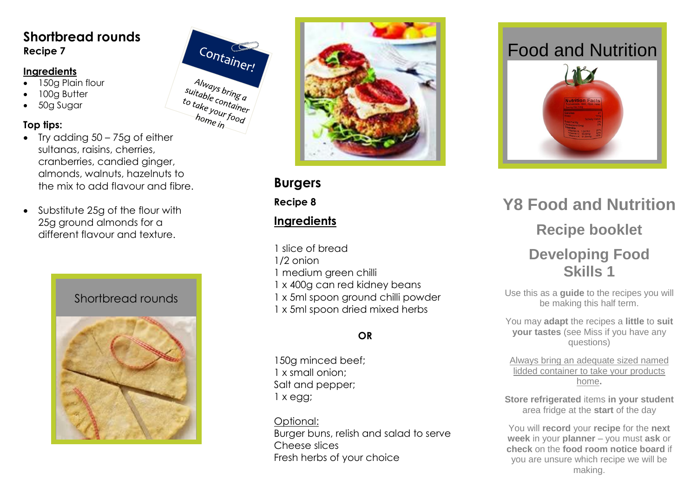### **Shortbread rounds Recipe 7**

#### **Ingredients**

- 150g Plain flour
- 100g Butter
- 50g Sugar

#### **Top tips:**

- Try adding 50 75g of either sultanas, raisins, cherries, cranberries, candied ginger, almonds, walnuts, hazelnuts to the mix to add flavour and fibre.
- Substitute 25g of the flour with 25g ground almonds for a different flavour and texture.

# Shortbread rounds





**Burgers**

Container!

Always bring<br>uitable content Always bring<br>to take container to take container<br>to take your food<br>home in home<sub>in</sub>

**Recipe 8**

## **Ingredients**

1 slice of bread

- 1/2 onion
- 1 medium green chilli
- 1 x 400g can red kidney beans
- 1 x 5ml spoon ground chilli powder
- 1 x 5ml spoon dried mixed herbs

## **OR**

150g minced beef; 1 x small onion; Salt and pepper; 1 x egg;

Optional: Burger buns, relish and salad to serve Cheese slices Fresh herbs of your choice

# Food and Nutrition



# **Y 8 Food and Nutrition Recipe booklet Developing Food Skills 1**

Use this as a **guide** to the recipes you will be making this half term.

You may **adapt** the recipes a **little** to **suit your tastes** (see Miss if you have any questions)

Always bring an adequate sized named lidded container to take your products home **.**

**Store refrigerated** items **in your student**  area fridge at the **start** of the day

You will **record** your **recipe** for the **next week** in your **planner** – you must **ask** or **check** on the **food room notice board** if you are unsure which recipe we will be making.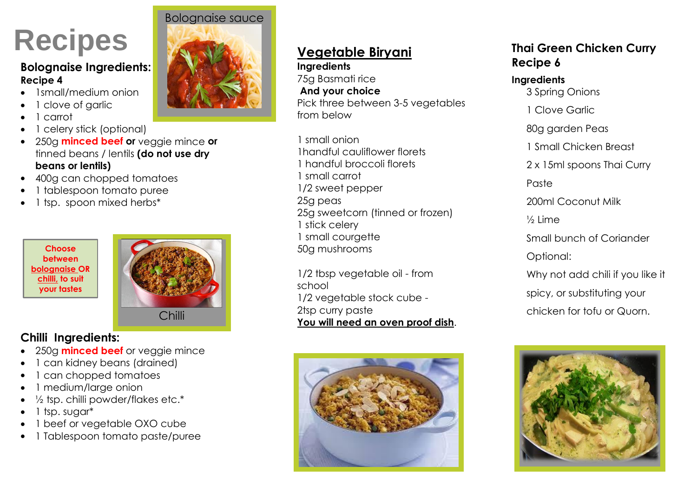# **Recipes**

#### **Bolognaise Ingredients: Recipe 4**

- 1small/medium onion
- 1 clove of garlic
- 1 carrot
- 1 celery stick (optional)
- 250g **minced beef or** veggie mince **or** tinned beans / lentils **(do not use dry beans or lentils)**
- 400g can chopped tomatoes
- 1 tablespoon tomato puree
- 1 tsp. spoon mixed herbs\*





# **Chilli Ingredients:**

- 250g **minced beef** or veggie mince
- 1 can kidney beans (drained)
- 1 can chopped tomatoes
- 1 medium/large onion
- ½ tsp. chilli powder/flakes etc.\*
- 1 tsp. sugar\*
- 1 beef or vegetable OXO cube
- 1 Tablespoon tomato paste/puree



# **Vegetable Biryani**

#### **Ingredients**  75g Basmati rice **And your choice**  Pick three between 3-5 vegetables from below

1 small onion 1handful cauliflower florets 1 handful broccoli florets 1 small carrot 1/2 sweet pepper 25g peas 25g sweetcorn (tinned or frozen) 1 stick celery 1 small courgette 50g mushrooms

1/2 tbsp vegetable oil - from school 1/2 vegetable stock cube - 2tsp curry paste **You will need an oven proof dish**. chilli 2tsp curry paste chicken for tofu or Quorn.



## **Thai Green Chicken Curry Recipe 6**

#### **Ingredients**

- 3 Spring Onions
- 1 Clove Garlic
- 80g garden Peas
- 1 Small Chicken Breast
- 2 x 15ml spoons Thai Curry

Paste

200ml Coconut Milk

½ Lime

- Small bunch of Coriander
- Optional:
- Why not add chili if you like it
- spicy, or substituting your
-